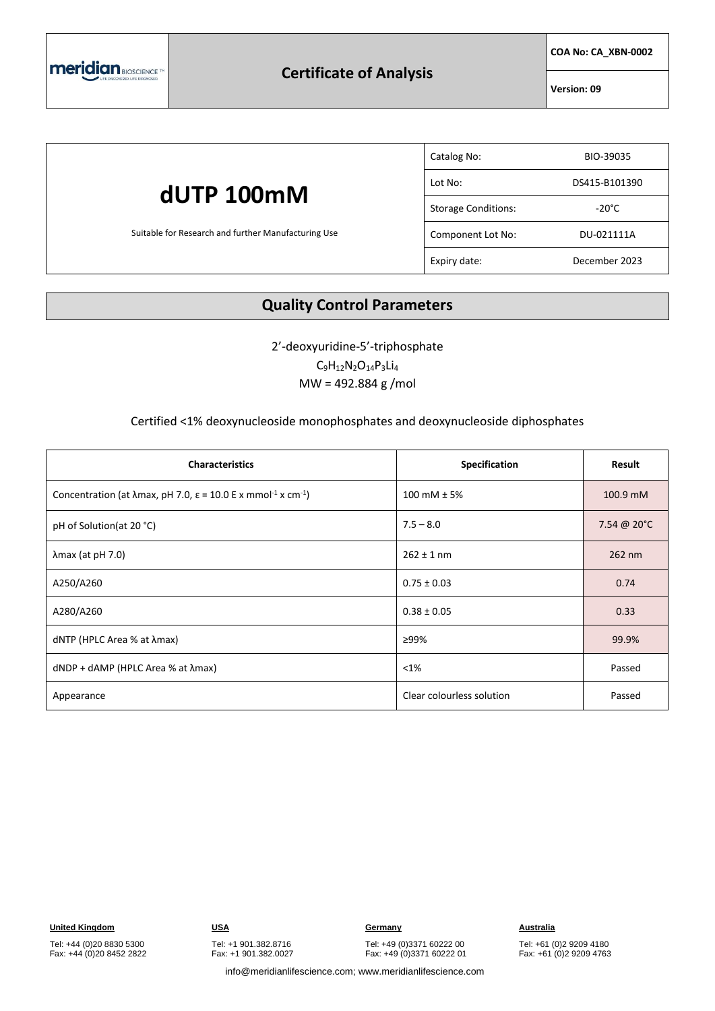

## **Certificate of Analysis**

**COA No: CA\_XBN-0002**

**Version: 09**

|                                                                   | Catalog No:                | BIO-39035       |
|-------------------------------------------------------------------|----------------------------|-----------------|
| dUTP 100mM<br>Suitable for Research and further Manufacturing Use | Lot No:                    | DS415-B101390   |
|                                                                   | <b>Storage Conditions:</b> | $-20^{\circ}$ C |
|                                                                   | Component Lot No:          | DU-021111A      |
|                                                                   | Expiry date:               | December 2023   |

### **Quality Control Parameters**

2'-deoxyuridine-5'-triphosphate  $C_9H_{12}N_2O_{14}P_3Li_4$ MW = 492.884 g /mol

#### Certified <1% deoxynucleoside monophosphates and deoxynucleoside diphosphates

| <b>Characteristics</b>                                                                                    | Specification             | Result      |
|-----------------------------------------------------------------------------------------------------------|---------------------------|-------------|
| Concentration (at $\lambda$ max, pH 7.0, $\varepsilon$ = 10.0 E x mmol <sup>-1</sup> x cm <sup>-1</sup> ) | 100 mM $± 5%$             | 100.9 mM    |
| pH of Solution(at 20 °C)                                                                                  | $7.5 - 8.0$               | 7.54 @ 20°C |
| $\lambda$ max (at pH 7.0)                                                                                 | $262 \pm 1$ nm            | 262 nm      |
| A250/A260                                                                                                 | $0.75 \pm 0.03$           | 0.74        |
| A280/A260                                                                                                 | $0.38 \pm 0.05$           | 0.33        |
| $dNTP$ (HPLC Area % at $\lambda$ max)                                                                     | ≥99%                      | 99.9%       |
| $dNDP + dAMP$ (HPLC Area % at $\lambda$ max)                                                              | $< 1\%$                   | Passed      |
| Appearance                                                                                                | Clear colourless solution | Passed      |

# Tel: +49 (0)3371 60222 00

Fax: +49 (0)3371 60222 01

Tel: +61 (0)2 9209 4180 Fax: +61 (0)2 9209 4763